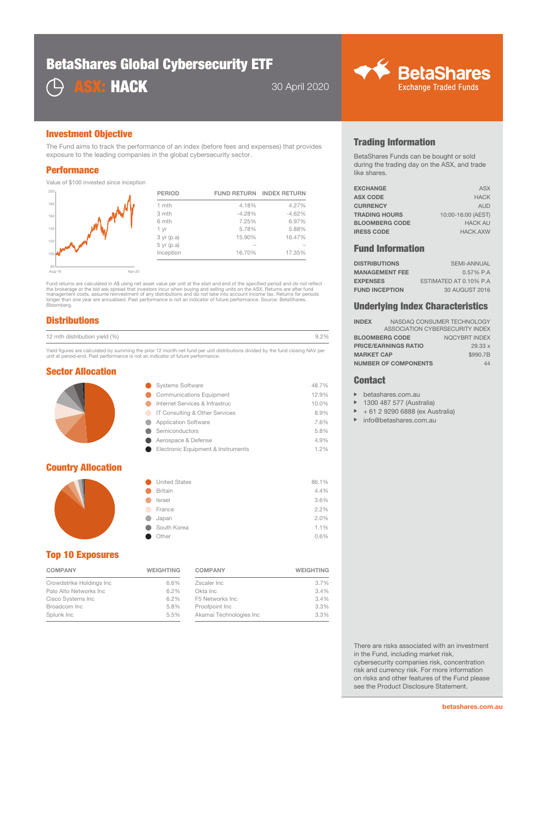# BetaShares Global Cybersecurity ETF





### Investment Objective

The Fund aims to track the performance of an index (before fees and expenses) that provides exposure to the leading companies in the global cybersecurity sector.

#### **Performance**

Value of \$100 invested since inception

| 200  | <b>PERIOD</b> |          | <b>FUND RETURN INDEX RETURN</b> |
|------|---------------|----------|---------------------------------|
| 180  | 1 mth         | 4.18%    | 4.27%                           |
| 160  | 3 mth         | $-4.28%$ | $-4.62%$                        |
|      | 6 mth         | 7.25%    | 6.97%                           |
| 140  | 1 yr          | 5.78%    | 5.88%                           |
|      | $3$ yr (p.a)  | 15.90%   | 16.47%                          |
| 120  | $5$ yr (p.a)  |          |                                 |
| 1000 | Inception     | 16.70%   | 17.35%                          |
| 80   |               |          |                                 |

80 Aug-16 Apr-20

Fund returns are calculated in A\$ using net asset value per unit at the start and end of the specified period and do not reflect<br>the brokerage or the bid ask spread that investors incur when buying and selling units on the longer than one year are annualised. Past performance is not an indicator of future performance. Source: BetaShares, Bloomberg.

## **Distributions**

| 12 mth distribution yield (%) | $\gamma_{0/2}$ |
|-------------------------------|----------------|
|-------------------------------|----------------|

Yield figures are calculated by summing the prior 12 month net fund per unit distributions divided by the fund closing NAV per unit at period-end. Past performance is not an indicator of future performance.

#### Sector Allocation

| <b>Systems Software</b>            | 48.7% |
|------------------------------------|-------|
| <b>Communications Equipment</b>    | 12.9% |
| Internet Services & Infrastruc     | 10.0% |
| IT Consulting & Other Services     | 8.9%  |
| <b>Application Software</b>        | 7.6%  |
| Semiconductors                     | 5.8%  |
| Aerospace & Defense                | 4.9%  |
| Electronic Equipment & Instruments | 1.2%  |
|                                    |       |

## Country Allocation



| ● | <b>United States</b> | 86.1% |
|---|----------------------|-------|
|   | <b>Britain</b>       | 4.4%  |
|   | Israel               | 3.6%  |
|   | France               | 2.2%  |
|   | Japan                | 2.0%  |
| œ | South Korea          | 1.1%  |
|   | Other                | 0.6%  |

## Top 10 Exposures

| Crowdstrike Holdings Inc<br>6.6%<br>6.2%<br>Palo Alto Networks Inc.<br>Cisco Systems Inc<br>6.2%<br>5.8%<br>Broadcom Inc<br>5.5%<br>Splunk Inc | <b>COMPANY</b> | <b>WEIGHTING</b> |
|------------------------------------------------------------------------------------------------------------------------------------------------|----------------|------------------|
|                                                                                                                                                |                |                  |
|                                                                                                                                                |                |                  |
|                                                                                                                                                |                |                  |
|                                                                                                                                                |                |                  |
|                                                                                                                                                |                |                  |

| <b>COMPANY</b>          | <b>WEIGHTING</b> |
|-------------------------|------------------|
| Zscaler Inc             | 3.7%             |
| Okta Inc.               | 3.4%             |
| F5 Networks Inc.        | 3.4%             |
| Proofpoint Inc          | 3.3%             |
| Akamai Technologies Inc | 3.3%             |

## Trading Information

BetaShares Funds can be bought or sold during the trading day on the ASX, and trade like shares.

| <b>EXCHANGE</b>       | <b>ASX</b>         |
|-----------------------|--------------------|
| <b>ASX CODE</b>       | <b>HACK</b>        |
| <b>CURRENCY</b>       | <b>AUD</b>         |
| <b>TRADING HOURS</b>  | 10:00-16:00 (AEST) |
| <b>BLOOMBERG CODE</b> | <b>HACK AU</b>     |
| <b>IRESS CODE</b>     | <b>HACK, AXW</b>   |
|                       |                    |

## Fund Information

| <b>DISTRIBUTIONS</b>  | <b>SEMI-ANNUAL</b>     |
|-----------------------|------------------------|
| <b>MANAGEMENT FEE</b> | $0.57\%$ P.A           |
| <b>EXPENSES</b>       | ESTIMATED AT 0.10% P.A |
| <b>FUND INCEPTION</b> | 30 AUGUST 2016         |

#### Underlying Index Characteristics

| <b>INDEX</b>                |                             | NASDAQ CONSUMER TECHNOLOGY      |
|-----------------------------|-----------------------------|---------------------------------|
|                             |                             | ASSOCIATION CYBERSECURITY INDEX |
| <b>BLOOMBERG CODE</b>       |                             | <b>NQCYBRT INDEX</b>            |
| <b>PRICE/EARNINGS RATIO</b> |                             | 29.33x                          |
| <b>MARKET CAP</b>           |                             | \$990.7B                        |
|                             | <b>NUMBER OF COMPONENTS</b> | 44                              |

#### **Contact**

- betashares.com.au  $\mathbf{p}$
- 1300 487 577 (Australia) b
- $\mathbf{b}$ + 61 2 9290 6888 (ex Australia)
- $\mathbf{r}$ info@betashares.com.au

There are risks associated with an investment in the Fund, including market risk, cybersecurity companies risk, concentration risk and currency risk. For more information on risks and other features of the Fund please see the Product Disclosure Statement.